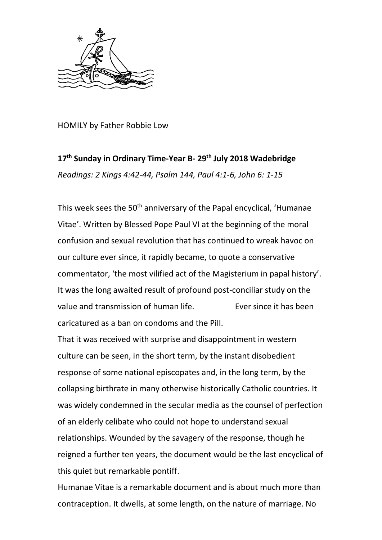

HOMILY by Father Robbie Low

## **17th Sunday in Ordinary Time-Year B- 29th July 2018 Wadebridge** *Readings: 2 Kings 4:42-44, Psalm 144, Paul 4:1-6, John 6: 1-15*

This week sees the 50<sup>th</sup> anniversary of the Papal encyclical, 'Humanae Vitae'. Written by Blessed Pope Paul VI at the beginning of the moral confusion and sexual revolution that has continued to wreak havoc on our culture ever since, it rapidly became, to quote a conservative commentator, 'the most vilified act of the Magisterium in papal history'. It was the long awaited result of profound post-conciliar study on the value and transmission of human life. Ever since it has been caricatured as a ban on condoms and the Pill.

That it was received with surprise and disappointment in western culture can be seen, in the short term, by the instant disobedient response of some national episcopates and, in the long term, by the collapsing birthrate in many otherwise historically Catholic countries. It was widely condemned in the secular media as the counsel of perfection of an elderly celibate who could not hope to understand sexual relationships. Wounded by the savagery of the response, though he reigned a further ten years, the document would be the last encyclical of this quiet but remarkable pontiff.

Humanae Vitae is a remarkable document and is about much more than contraception. It dwells, at some length, on the nature of marriage. No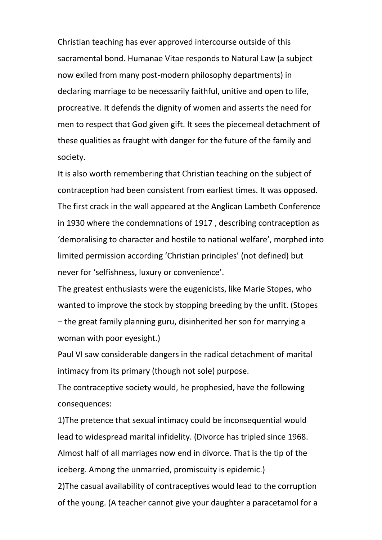Christian teaching has ever approved intercourse outside of this sacramental bond. Humanae Vitae responds to Natural Law (a subject now exiled from many post-modern philosophy departments) in declaring marriage to be necessarily faithful, unitive and open to life, procreative. It defends the dignity of women and asserts the need for men to respect that God given gift. It sees the piecemeal detachment of these qualities as fraught with danger for the future of the family and society.

It is also worth remembering that Christian teaching on the subject of contraception had been consistent from earliest times. It was opposed. The first crack in the wall appeared at the Anglican Lambeth Conference in 1930 where the condemnations of 1917 , describing contraception as 'demoralising to character and hostile to national welfare', morphed into limited permission according 'Christian principles' (not defined) but never for 'selfishness, luxury or convenience'.

The greatest enthusiasts were the eugenicists, like Marie Stopes, who wanted to improve the stock by stopping breeding by the unfit. (Stopes – the great family planning guru, disinherited her son for marrying a woman with poor eyesight.)

Paul VI saw considerable dangers in the radical detachment of marital intimacy from its primary (though not sole) purpose.

The contraceptive society would, he prophesied, have the following consequences:

1)The pretence that sexual intimacy could be inconsequential would lead to widespread marital infidelity. (Divorce has tripled since 1968. Almost half of all marriages now end in divorce. That is the tip of the iceberg. Among the unmarried, promiscuity is epidemic.) 2)The casual availability of contraceptives would lead to the corruption

of the young. (A teacher cannot give your daughter a paracetamol for a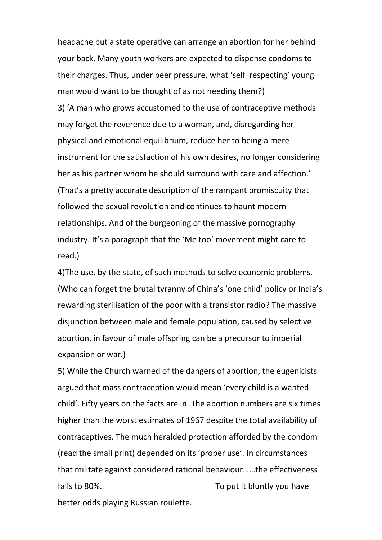headache but a state operative can arrange an abortion for her behind your back. Many youth workers are expected to dispense condoms to their charges. Thus, under peer pressure, what 'self respecting' young man would want to be thought of as not needing them?) 3) 'A man who grows accustomed to the use of contraceptive methods may forget the reverence due to a woman, and, disregarding her physical and emotional equilibrium, reduce her to being a mere instrument for the satisfaction of his own desires, no longer considering her as his partner whom he should surround with care and affection.' (That's a pretty accurate description of the rampant promiscuity that followed the sexual revolution and continues to haunt modern relationships. And of the burgeoning of the massive pornography industry. It's a paragraph that the 'Me too' movement might care to read.)

4)The use, by the state, of such methods to solve economic problems. (Who can forget the brutal tyranny of China's 'one child' policy or India's rewarding sterilisation of the poor with a transistor radio? The massive disjunction between male and female population, caused by selective abortion, in favour of male offspring can be a precursor to imperial expansion or war.)

5) While the Church warned of the dangers of abortion, the eugenicists argued that mass contraception would mean 'every child is a wanted child'. Fifty years on the facts are in. The abortion numbers are six times higher than the worst estimates of 1967 despite the total availability of contraceptives. The much heralded protection afforded by the condom (read the small print) depended on its 'proper use'. In circumstances that militate against considered rational behaviour……the effectiveness falls to 80%. To put it bluntly you have better odds playing Russian roulette.